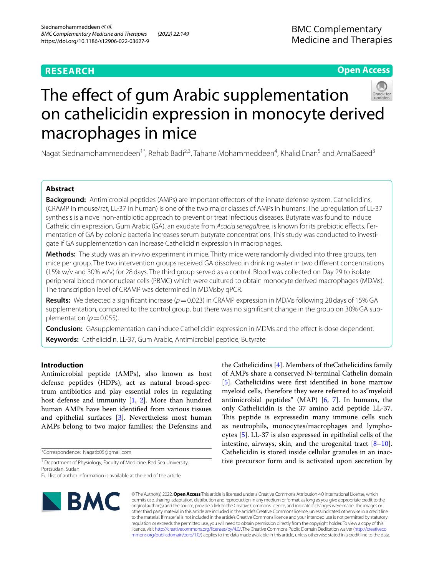# **RESEARCH**

**Open Access**

# The effect of gum Arabic supplementation on cathelicidin expression in monocyte derived macrophages in mice

Nagat Siednamohammeddeen<sup>1\*</sup>, Rehab Badi<sup>2,3</sup>, Tahane Mohammeddeen<sup>4</sup>, Khalid Enan<sup>5</sup> and AmalSaeed<sup>3</sup>

# **Abstract**

**Background:** Antimicrobial peptides (AMPs) are important effectors of the innate defense system. Cathelicidins, (CRAMP in mouse/rat, LL-37 in human) is one of the two major classes of AMPs in humans. The upregulation of LL-37 synthesis is a novel non-antibiotic approach to prevent or treat infectious diseases. Butyrate was found to induce Cathelicidin expression. Gum Arabic (GA), an exudate from *Acacia senegal*tree, is known for its prebiotic efects. Fermentation of GA by colonic bacteria increases serum butyrate concentrations. This study was conducted to investigate if GA supplementation can increase Cathelicidin expression in macrophages.

**Methods:** The study was an in-vivo experiment in mice. Thirty mice were randomly divided into three groups, ten mice per group. The two intervention groups received GA dissolved in drinking water in two diferent concentrations (15% w/v and 30% w/v) for 28days. The third group served as a control. Blood was collected on Day 29 to isolate peripheral blood mononuclear cells (PBMC) which were cultured to obtain monocyte derived macrophages (MDMs). The transcription level of CRAMP was determined in MDMsby qPCR.

**Results:** We detected a significant increase ( $p = 0.023$ ) in CRAMP expression in MDMs following 28 days of 15% GA supplementation, compared to the control group, but there was no signifcant change in the group on 30% GA supplementation ( $p$  = 0.055).

**Conclusion:** GAsupplementation can induce Cathelicidin expression in MDMs and the efect is dose dependent. **Keywords:** Cathelicidin, LL-37, Gum Arabic, Antimicrobial peptide, Butyrate

# **Introduction**

Antimicrobial peptide (AMPs), also known as host defense peptides (HDPs), act as natural broad-spectrum antibiotics and play essential roles in regulating host defense and immunity [\[1](#page-4-0), [2\]](#page-5-0). More than hundred human AMPs have been identifed from various tissues and epithelial surfaces [\[3\]](#page-5-1). Nevertheless most human AMPs belong to two major families: the Defensins and

\*Correspondence: Nagatb05@gmail.com

<sup>1</sup> Department of Physiology, Faculty of Medicine, Red Sea University, Portsudan, Sudan

**BMC** 

the Cathelicidins [\[4](#page-5-2)]. Members of theCathelicidins family of AMPs share a conserved N-terminal Cathelin domain [[5\]](#page-5-3). Cathelicidins were frst identifed in bone marrow myeloid cells, therefore they were referred to as"myeloid antimicrobial peptides" (MAP) [\[6](#page-5-4), [7](#page-5-5)]. In humans, the only Cathelicidin is the 37 amino acid peptide LL-37. This peptide is expressedin many immune cells such as neutrophils, monocytes/macrophages and lymphocytes [[5](#page-5-3)]. LL-37 is also expressed in epithelial cells of the intestine, airways, skin, and the urogenital tract  $[8-10]$  $[8-10]$ . Cathelicidin is stored inside cellular granules in an inactive precursor form and is activated upon secretion by

© The Author(s) 2022. **Open Access** This article is licensed under a Creative Commons Attribution 4.0 International License, which permits use, sharing, adaptation, distribution and reproduction in any medium or format, as long as you give appropriate credit to the original author(s) and the source, provide a link to the Creative Commons licence, and indicate if changes were made. The images or other third party material in this article are included in the article's Creative Commons licence, unless indicated otherwise in a credit line to the material. If material is not included in the article's Creative Commons licence and your intended use is not permitted by statutory regulation or exceeds the permitted use, you will need to obtain permission directly from the copyright holder. To view a copy of this licence, visit [http://creativecommons.org/licenses/by/4.0/.](http://creativecommons.org/licenses/by/4.0/) The Creative Commons Public Domain Dedication waiver ([http://creativeco](http://creativecommons.org/publicdomain/zero/1.0/) [mmons.org/publicdomain/zero/1.0/](http://creativecommons.org/publicdomain/zero/1.0/)) applies to the data made available in this article, unless otherwise stated in a credit line to the data.

Full list of author information is available at the end of the article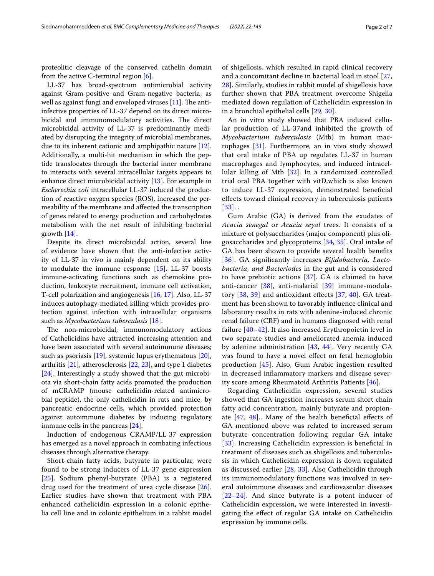proteolitic cleavage of the conserved cathelin domain from the active C-terminal region [[6\]](#page-5-4).

LL-37 has broad-spectrum antimicrobial activity against Gram-positive and Gram-negative bacteria, as well as against fungi and enveloped viruses  $[11]$ . The antiinfective properties of LL-37 depend on its direct microbicidal and immunomodulatory activities. The direct microbicidal activity of LL-37 is predominantly mediated by disrupting the integrity of microbial membranes, due to its inherent cationic and amphipathic nature [\[12](#page-5-9)]. Additionally, a multi-hit mechanism in which the peptide translocates through the bacterial inner membrane to interacts with several intracellular targets appears to enhance direct microbicidal activity [[13\]](#page-5-10). For example in *Escherechia coli* intracellular LL-37 induced the production of reactive oxygen species (ROS), increased the permeability of the membrane and afected the transcription of genes related to energy production and carbohydrates metabolism with the net result of inhibiting bacterial growth [[14](#page-5-11)].

Despite its direct microbicidal action, several line of evidence have shown that the anti-infective activity of LL-37 in vivo is mainly dependent on its ability to modulate the immune response [\[15](#page-5-12)]. LL-37 boosts immune-activating functions such as chemokine production, leukocyte recruitment, immune cell activation, T-cell polarization and angiogenesis [\[16](#page-5-13), [17\]](#page-5-14). Also, LL-37 induces autophagy-mediated killing which provides protection against infection with intracellular organisms such as *Mycobacterium tuberculosis* [\[18\]](#page-5-15).

The non-microbicidal, immunomodulatory actions of Cathelicidins have attracted increasing attention and have been associated with several autoimmune diseases; such as psoriasis [[19](#page-5-16)], systemic lupus erythematous [\[20](#page-5-17)], arthritis [\[21](#page-5-18)], atherosclerosis [[22](#page-5-19), [23\]](#page-5-20), and type 1 diabetes [[24\]](#page-5-21). Interestingly a study showed that the gut microbiota via short-chain fatty acids promoted the production of mCRAMP (mouse cathelicidin-related antimicrobial peptide), the only cathelicidin in rats and mice, by pancreatic endocrine cells, which provided protection against autoimmune diabetes by inducing regulatory immune cells in the pancreas [[24\]](#page-5-21).

Induction of endogenous CRAMP/LL-37 expression has emerged as a novel approach in combating infectious diseases through alternative therapy.

Short-chain fatty acids, butyrate in particular, were found to be strong inducers of LL-37 gene expression [[25](#page-5-22)]. Sodium phenyl-butyrate (PBA) is a registered drug used for the treatment of urea cycle disease [[26](#page-5-23)]. Earlier studies have shown that treatment with PBA enhanced cathelicidin expression in a colonic epithelia cell line and in colonic epithelium in a rabbit model of shigellosis, which resulted in rapid clinical recovery and a concomitant decline in bacterial load in stool [\[27](#page-5-24), [28\]](#page-5-25). Similarly, studies in rabbit model of shigellosis have further shown that PBA treatment overcome Shigella mediated down regulation of Cathelicidin expression in in a bronchial epithelial cells [[29,](#page-5-26) [30\]](#page-5-27).

An in vitro study showed that PBA induced cellular production of LL-37and inhibited the growth of *Mycobacterium tuberculosis* (Mtb) in human macrophages [\[31](#page-5-28)]. Furthermore, an in vivo study showed that oral intake of PBA up regulates LL-37 in human macrophages and lymphocytes, and induced intracellular killing of Mtb [[32\]](#page-5-29). In a randomized controlled trial oral PBA together with vitD,which is also known to induce LL-37 expression, demonstrated benefcial efects toward clinical recovery in tuberculosis patients  $[33]$  $[33]$  $[33]$ .

Gum Arabic (GA) is derived from the exudates of *Acacia senegal* or *Acacia seyal* trees. It consists of a mixture of polysaccharides (major component) plus oligosaccharides and glycoproteins [[34,](#page-5-31) [35\]](#page-5-32). Oral intake of GA has been shown to provide several health benefts [[36](#page-5-33)]. GA signifcantly increases *Bifdobacteria, Lactobacteria, and Bacteriodes* in the gut and is considered to have prebiotic actions  $[37]$  $[37]$ . GA is claimed to have anti-cancer [\[38](#page-5-35)], anti-malarial [\[39\]](#page-5-36) immune-modulatory  $[38, 39]$  $[38, 39]$  $[38, 39]$  $[38, 39]$  $[38, 39]$  and antioxidant effects  $[37, 40]$  $[37, 40]$  $[37, 40]$  $[37, 40]$  $[37, 40]$ . GA treatment has been shown to favorably infuence clinical and laboratory results in rats with adenine-induced chronic renal failure (CRF) and in humans diagnosed with renal failure [[40–](#page-5-37)[42\]](#page-5-38). It also increased Erythropoietin level in two separate studies and ameliorated anemia induced by adenine administration [[43,](#page-6-0) [44\]](#page-6-1). Very recently GA was found to have a novel efect on fetal hemoglobin production [\[45](#page-6-2)]. Also, Gum Arabic ingestion resulted in decreased infammatory markers and disease severity score among Rheumatoid Arthritis Patients [[46\]](#page-6-3).

Regarding Cathelicidin expression, several studies showed that GA ingestion increases serum short chain fatty acid concentration, mainly butyrate and propionate  $[47, 48]$  $[47, 48]$  $[47, 48]$  $[47, 48]$ .. Many of the health beneficial effects of GA mentioned above was related to increased serum butyrate concentration following regular GA intake [[33](#page-5-30)]. Increasing Cathelicidin expression is beneficial in treatment of diseases such as shigellosis and tuberculosis in which Cathelicidin expression is down regulated as discussed earlier [[28,](#page-5-25) [33](#page-5-30)]. Also Cathelicidin through its immunomodulatory functions was involved in several autoimmune diseases and cardiovascular diseases [[22](#page-5-19)[–24](#page-5-21)]. And since butyrate is a potent inducer of Cathelicidin expression, we were interested in investigating the efect of regular GA intake on Cathelicidin expression by immune cells.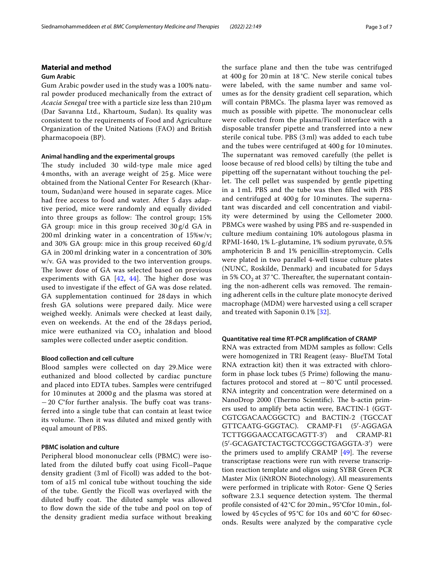# **Material and method**

## **Gum Arabic**

Gum Arabic powder used in the study was a 100% natural powder produced mechanically from the extract of *Acacia Senegal* tree with a particle size less than 210 μm (Dar Savanna Ltd., Khartoum, Sudan). Its quality was consistent to the requirements of Food and Agriculture Organization of the United Nations (FAO) and British pharmacopoeia (BP).

# **Animal handling and the experimental groups**

The study included 30 wild-type male mice aged 4 months, with an average weight of 25 g. Mice were obtained from the National Center For Research (Khartoum, Sudan)and were housed in separate cages. Mice had free access to food and water. After 5 days adaptive period, mice were randomly and equally divided into three groups as follow: The control group; 15% GA group: mice in this group received 30 g/d GA in 200 ml drinking water in a concentration of 15%w/v; and 30% GA group: mice in this group received 60 g/d GA in 200 ml drinking water in a concentration of 30% w/v. GA was provided to the two intervention groups. The lower dose of GA was selected based on previous experiments with GA  $[42, 44]$  $[42, 44]$  $[42, 44]$  $[42, 44]$ . The higher dose was used to investigate if the efect of GA was dose related. GA supplementation continued for 28 days in which fresh GA solutions were prepared daily. Mice were weighed weekly. Animals were checked at least daily, even on weekends. At the end of the 28 days period, mice were euthanized via  $CO<sub>2</sub>$  inhalation and blood samples were collected under aseptic condition.

# **Blood collection and cell culture**

Blood samples were collected on day 29.Mice were euthanized and blood collected by cardiac puncture and placed into EDTA tubes. Samples were centrifuged for 10 minutes at 2000 g and the plasma was stored at  $-20$  C°for further analysis. The buffy coat was transferred into a single tube that can contain at least twice its volume. Then it was diluted and mixed gently with equal amount of PBS.

# **PBMC isolation and culture**

Peripheral blood mononuclear cells (PBMC) were isolated from the diluted bufy coat using Ficoll–Paque density gradient (3 ml of Ficoll) was added to the bottom of a15 ml conical tube without touching the side of the tube. Gently the Ficoll was overlayed with the diluted buffy coat. The diluted sample was allowed to flow down the side of the tube and pool on top of the density gradient media surface without breaking the surface plane and then the tube was centrifuged at 400 g for 20 min at 18 °C. New sterile conical tubes were labeled, with the same number and same volumes as for the density gradient cell separation, which will contain PBMCs. The plasma layer was removed as much as possible with pipette. The mononuclear cells were collected from the plasma/Ficoll interface with a disposable transfer pipette and transferred into a new sterile conical tube. PBS (3 ml) was added to each tube and the tubes were centrifuged at 400 g for 10 minutes. The supernatant was removed carefully (the pellet is loose because of red blood cells) by tilting the tube and pipetting of the supernatant without touching the pellet. The cell pellet was suspended by gentle pipetting in a 1 mL PBS and the tube was then flled with PBS and centrifuged at 400 g for 10 minutes. The supernatant was discarded and cell concentration and viability were determined by using the Cellometer 2000. PBMCs were washed by using PBS and re-suspended in culture medium containing 10% autologous plasma in RPMI-1640, 1% L-glutamine, 1% sodium pyruvate, 0.5% amphotericin B and 1% penicillin-streptomycin. Cells were plated in two parallel 4-well tissue culture plates (NUNC, Roskilde, Denmark) and incubated for 5 days in 5%  $CO<sub>2</sub>$  at 37 °C. Thereafter, the supernatant containing the non-adherent cells was removed. The remaining adherent cells in the culture plate monocyte derived macrophage (MDM) were harvested using a cell scraper and treated with Saponin 0.1% [[32\]](#page-5-29).

# **Quantitative real time RT‑PCR amplifcation of CRAMP**

RNA was extracted from MDM samples as follow: Cells were homogenized in TRI Reagent (easy- BlueTM Total RNA extraction kit) then it was extracted with chloroform in phase lock tubes (5 Prime) following the manufactures protocol and stored at −80°C until processed. RNA integrity and concentration were determined on a NanoDrop 2000 (Thermo Scientific). The b-actin primers used to amplify beta actin were, BACTIN-1 (GGT-CGTCGACAACGGCTC) and BACTIN-2 (TGCCAT GTTCAATG-GGGTAC). CRAMP-F1 (5′-AGGAGA TCTTGGGAACCATGCAGTT-3′) and CRAMP-R1 (5′-GCAGATCTACTGCTCCGGCTGAGGTA-3′) were the primers used to amplify CRAMP  $[49]$  $[49]$  $[49]$ . The reverse transcriptase reactions were run with reverse transcription reaction template and oligos using SYBR Green PCR Master Mix (iNtRON Biotechnology). All measurements were performed in triplicate with Rotor- Gene Q Series software 2.3.1 sequence detection system. The thermal profle consisted of 42°C for 20min., 95°Cfor 10min., followed by 45cycles of 95°C for 10s and 60°C for 60seconds. Results were analyzed by the comparative cycle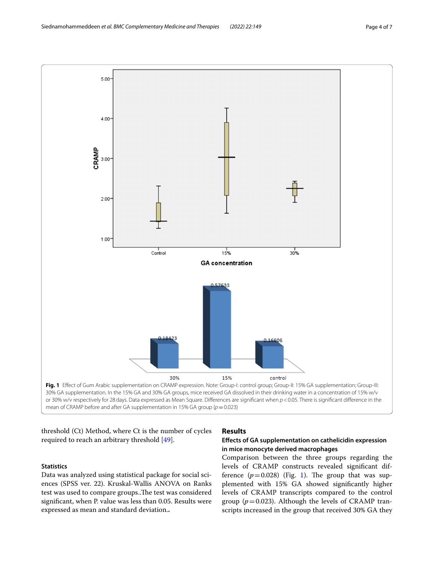

<span id="page-3-0"></span>threshold (Ct) Method, where Ct is the number of cycles required to reach an arbitrary threshold [\[49](#page-6-6)].

# **Statistics**

Data was analyzed using statistical package for social sciences (SPSS ver. 22). Kruskal-Wallis ANOVA on Ranks test was used to compare groups..The test was considered signifcant, when P. value was less than 0.05. Results were expressed as mean and standard deviation.**.**

# **Results**

# **Efects of GA supplementation on cathelicidin expression in mice monocyte derived macrophages**

Comparison between the three groups regarding the levels of CRAMP constructs revealed signifcant difference  $(p=0.028)$  (Fig. [1](#page-3-0)). The group that was supplemented with 15% GA showed signifcantly higher levels of CRAMP transcripts compared to the control group ( $p = 0.023$ ). Although the levels of CRAMP transcripts increased in the group that received 30% GA they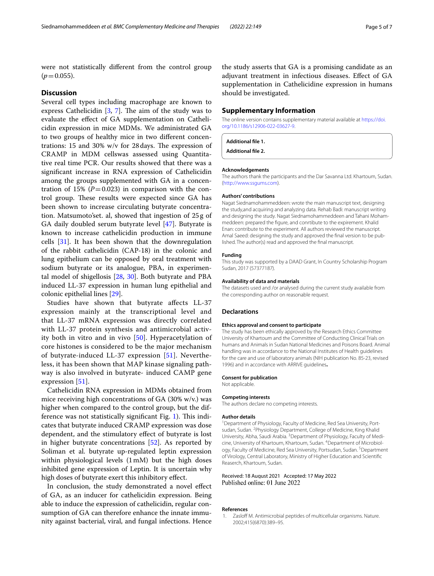were not statistically diferent from the control group  $(p=0.055)$ .

## **Discussion**

Several cell types including macrophage are known to express Cathelicidin  $[3, 7]$  $[3, 7]$  $[3, 7]$ . The aim of the study was to evaluate the efect of GA supplementation on Cathelicidin expression in mice MDMs. We administrated GA to two groups of healthy mice in two diferent concentrations: 15 and 30%  $w/v$  for 28 days. The expression of CRAMP in MDM cellswas assessed using Quantitative real time PCR. Our results showed that there was a signifcant increase in RNA expression of Cathelicidin among the groups supplemented with GA in a concentration of 15%  $(P=0.023)$  in comparison with the control group. These results were expected since GA has been shown to increase circulating butyrate concentration. Matsumoto'set. al, showed that ingestion of 25g of GA daily doubled serum butyrate level [[47\]](#page-6-4). Butyrate is known to increase cathelicidin production in immune cells [\[31](#page-5-28)]. It has been shown that the downregulation of the rabbit cathelicidin (CAP-18) in the colonic and lung epithelium can be opposed by oral treatment with sodium butyrate or its analogue, PBA, in experimental model of shigellosis [[28,](#page-5-25) [30](#page-5-27)]. Both butyrate and PBA induced LL-37 expression in human lung epithelial and colonic epithelial lines [\[29\]](#page-5-26).

Studies have shown that butyrate afects LL-37 expression mainly at the transcriptional level and that LL-37 mRNA expression was directly correlated with LL-37 protein synthesis and antimicrobial activity both in vitro and in vivo [[50\]](#page-6-7). Hyperacetylation of core histones is considered to be the major mechanism of butyrate-induced LL-37 expression [[51\]](#page-6-8). Nevertheless, it has been shown that MAP kinase signaling pathway is also involved in butyrate- induced CAMP gene expression [\[51](#page-6-8)].

Cathelicidin RNA expression in MDMs obtained from mice receiving high concentrations of GA (30% w/v.) was higher when compared to the control group, but the difference was not statistically significant Fig.  $1$ ). This indicates that butyrate induced CRAMP expression was dose dependent, and the stimulatory efect of butyrate is lost in higher butyrate concentrations [\[52](#page-6-9)]. As reported by Soliman et al. butyrate up-regulated leptin expression within physiological levels (1mM) but the high doses inhibited gene expression of Leptin. It is uncertain why high doses of butyrate exert this inhibitory efect.

In conclusion, the study demonstrated a novel efect of GA, as an inducer for cathelicidin expression. Being able to induce the expression of cathelicidin, regular consumption of GA can therefore enhance the innate immunity against bacterial, viral, and fungal infections. Hence the study asserts that GA is a promising candidate as an adjuvant treatment in infectious diseases. Efect of GA supplementation in Cathelicidine expression in humans should be investigated.

## **Supplementary Information**

The online version contains supplementary material available at [https://doi.](https://doi.org/10.1186/s12906-022-03627-9) [org/10.1186/s12906-022-03627-9](https://doi.org/10.1186/s12906-022-03627-9).

#### **Additional fle 1.**

**Additional fle 2.**

#### **Acknowledgements**

The authors thank the participants and the Dar Savanna Ltd. Khartoum, Sudan. ([http://www.ssgums.com\)](http://www.ssgums.com/).

#### **Authors' contributions**

Nagat Siednamohammeddeen: wrote the main manuscript text, designing the study,and acquiring and analyzing data. Rehab Badi: manuscript writing and designing the study. Nagat Siednamohammeddeen and Tahani Mohammeddeen: prepared the fgure, and conrtibute to the expirement. Khalid Enan: contribute to the experiment. All authors reviewed the manuscript. Amal Saeed: designing the study and approved the fnal version to be published. The author(s) read and approved the fnal manuscript.

## **Funding**

This study was supported by a DAAD Grant, In Country Scholarship Program Sudan, 2017 (57377187).

#### **Availability of data and materials**

The datasets used and /or analysed during the current study available from the corresponding author on reasonable request.

#### **Declarations**

#### **Ethics approval and consent to participate**

The study has been ethically approved by the Research Ethics Committee University of Khartoum and the Committee of Conducting Clinical Trials on humans and Animals in Sudan National Medicines and Poisons Board. Animal handling was in accordance to the National Institutes of Health guidelines for the care and use of laboratory animals (NIH publication No. 85-23, revised 1996) and in accordance with ARRIVE guidelines**.**

#### **Consent for publication**

Not applicable.

#### **Competing interests**

The authors declare no competing interests.

#### **Author details**

<sup>1</sup> Department of Physiology, Faculty of Medicine, Red Sea University, Portsudan, Sudan. <sup>2</sup> Physiology Department, College of Medicine, King Khalid University, Abha, Saudi Arabia. <sup>3</sup> Department of Physiology, Faculty of Medicine, University of Khartoum, Khartoum, Sudan. <sup>4</sup> Department of Microbiology, Faculty of Medicine, Red Sea University, Portsudan, Sudan.<sup>5</sup> Department of Virology, Central Laboratory, Ministry of Higher Education and Scientifc Reaserch, Khartoum, Sudan.

## Received: 18 August 2021 Accepted: 17 May 2022 Published online: 01 June 2022

#### **References**

<span id="page-4-0"></span>1. Zasloff M. Antimicrobial peptides of multicellular organisms. Nature. 2002;415(6870):389–95.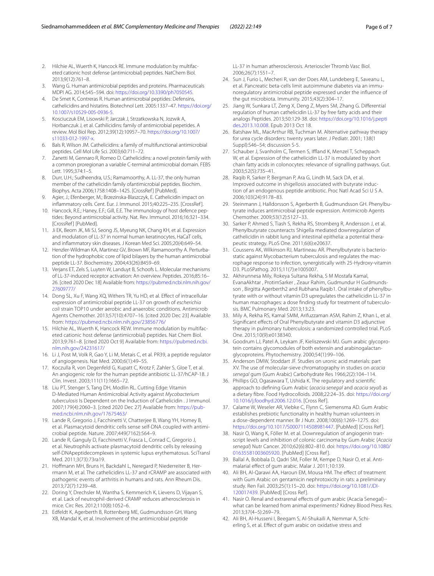- <span id="page-5-0"></span>2. Hilchie AL, Wuerth K, Hancock RE. Immune modulation by multifaceted cationic host defense (antimicrobial) peptides. NatChem Biol. 2013;9(12):761–8.
- <span id="page-5-1"></span>3. Wang G. Human antimicrobial peptides and proteins. Pharmaceuticals MDPI AG. 2014;545–594. doi: <https://doi.org/10.3390/ph7050545>.
- <span id="page-5-2"></span>4. De Smet K, Contreras R. Human antimicrobial peptides: Defensins, cathelicidins and histatins. Biotechnol Lett. 2005:1337–47. [https://doi.org/](https://doi.org/10.1007/s10529-005-0936-5) [10.1007/s10529-005-0936-5.](https://doi.org/10.1007/s10529-005-0936-5)
- <span id="page-5-3"></span>5. Kosciuczuk EM, Lisowski P, Jarczak J, Strzatkowska N, Jozwik A, Horbanczuk J, et al. Cathilicidins: family of antimicrobial pepetides. A review. Mol Biol Rep. 2012;39(12):10957–70. [https://doi.org/10.1007/](https://doi.org/10.1007/s11033-012-1997-x) [s11033-012-1997-x](https://doi.org/10.1007/s11033-012-1997-x).
- <span id="page-5-4"></span>6. Bals R, Wilson JM. Cathelicidins: a family of multifunctional antimicrobial peptides. Cell Mol Life Sci. 2003;60:711–72.
- <span id="page-5-5"></span>7. Zanetti M, Gennaro R, Romeo D. Cathelicidins: a novel protein family with a common proregionan a variable C-terminal antimicrobial domain. FEBS Lett. 1995;374:1–5.
- <span id="page-5-6"></span>8. Durr, U.H.; Sudheendra, U.S.; Ramamoorthy, A. LL-37, the only human member of the cathelicidin family ofantimicrobial peptides. Biochim. Biophys. Acta 2006;1758:1408–1425. [CrossRef ] [PubMed].
- 9. Agier, J.; Efenberger, M.; Brzezinska-Blaszczyk, E. Cathelicidin impact on infammatory cells. Cent. Eur. J. Immunol. 2015;40:225–235. [CrossRef ].
- <span id="page-5-7"></span>10. Hancock, R.E.; Haney, E.F.; Gill, E.E. The immunology of host defence peptides: Beyond antimicrobial activity. Nat. Rev. Immunol. 2016;16:321–334. [CrossRef] [PubMed].
- <span id="page-5-8"></span>11. Ji EK, Beom JK, Mi SJ, Seong JS, Myeung NK, Chang KH, et al. Expression and modulation of LL-37 in normal human keratinocytes. HaCaT cells, and infammatory skin diseases. J Korean Med Sci. 2005;20(4):649–54.
- <span id="page-5-9"></span>12. Henzler-Wildman KA, Martinez GV, Brown MF, Ramamoorthy A. Perturbation of the hydrophobic core of lipid bilayers by the human antimicrobial peptide LL-37. Biochemistry. 2004;43(26):8459–69.
- <span id="page-5-10"></span>13. Verjans ET, Zels S, Luyten W, Landuyt B, Schoofs L. Molecular mechanisms of LL-37-induced receptor activation: An overview. Peptides. 2016;85:16– 26. [cited 2020 Dec 18] Available from: [https://pubmed.ncbi.nlm.nih.gov/](https://pubmed.ncbi.nlm.nih.gov/27609777/) [27609777/](https://pubmed.ncbi.nlm.nih.gov/27609777/)
- <span id="page-5-11"></span>14. Dong SL, Xu F, Wang XQ, Withers TR, Yu HD, et al. Efect of intracellular expression of antimicrobial peptide LL-37 on growth of *escherichia coli* strain TOP10 under aerobic and anaerobic conditions. Antimicrob Agents Chemother. 2013;57(10):4707–16. [cited 2020 Dec 23] Available from:<https://pubmed.ncbi.nlm.nih.gov/23856776/>
- <span id="page-5-12"></span>15. Hilchie AL, Wuerth K, Hancock REW. Immune modulation by multifaceted cationic host defense (antimicrobial) peptides. Nat Chem Biol. 2013;9:761–8. [cited 2020 Oct 9] Available from: [https://pubmed.ncbi.](https://pubmed.ncbi.nlm.nih.gov/24231617/) [nlm.nih.gov/24231617/](https://pubmed.ncbi.nlm.nih.gov/24231617/)
- <span id="page-5-13"></span>16. Li J, Post M, Volk R, Gao Y, Li M, Metais C, et al. PR39, a peptide regulator of angiogenesis. Nat Med. 2000;6(1):49–55.
- <span id="page-5-14"></span>17. Koczulla R, von Degenfeld G, Kupatt C, Krotz F, Zahler S, Gloe T, et al. An angiogenic role for the human peptide antibiotic LL-37/hCAP-18. J Clin. Invest. 2003;111(11):1665–72.
- <span id="page-5-15"></span>18. Liu PT, Stenger S, Tang DH, Modlin RL. Cutting Edge: Vitamin D-Mediated Human Antimicrobial Activity against *Mycobacterium tuberculosis* Is Dependent on the Induction of Cathelicidin . J Immunol. 2007;179(4):2060–3. [cited 2020 Dec 27] Available from: [https://pub](https://pubmed.ncbi.nlm.nih.gov/17675463/)[med.ncbi.nlm.nih.gov/17675463/](https://pubmed.ncbi.nlm.nih.gov/17675463/)
- <span id="page-5-16"></span>19. Lande R, Gregorio J, Facchinetti V, Chatterjee B, Wang YH, Homey B, et al. Plasmacytoid dendritic cells sense self-DNA coupled with antimicrobial peptide. Nature. 2007;449(7162):564–9.
- <span id="page-5-17"></span>20. Lande R, Ganguly D, Facchinetti V, Frasca L, Conrad C, Gregorio J, et al. Neutrophils activate plasmacytoid dendritic cells by releasing self-DNApeptidecomplexes in systemic lupus erythematosus. SciTransl Med. 2011;3(73):73ra19.
- <span id="page-5-18"></span>21. Hofmann MH, Bruns H, Backdahl L, Neregard P, Niederreiter B, Herrmann M, et al. The cathelicidins LL-37 and rCRAMP are associated with pathogenic events of arthritis in humans and rats. Ann Rheum Dis. 2013;72(7):1239–48.
- <span id="page-5-19"></span>22. Doring Y, Drechsler M, Wantha S, Kemmerich K, Lievens D, Vijayan S, et al. Lack of neutrophil-derived CRAMP reduces atherosclerosis in mice. Circ Res. 2012;110(8):1052–6.
- <span id="page-5-20"></span>23. Edfeldt K, Agerberth B, Rottenberg ME, Gudmundsson GH, Wang XB, Mandal K, et al. Involvement of the antimicrobial peptide

LL-37 in human atherosclerosis. Arterioscler Thromb Vasc Biol. 2006;26(7):1551–7.

- <span id="page-5-21"></span>24. Sun J, Furio L, Mecheri R, van der Does AM, Lundeberg E, Saveanu L, et al. Pancreatic beta-cells limit autoimmune diabetes via an immunoregulatory antimicrobial peptide expressed under the infuence of the gut microbiota. Immunity. 2015;43(2):304–17.
- <span id="page-5-22"></span>25. Jiang W, Sunkara LT, Zeng X, Deng Z, Myers SM, Zhang G. Diferential regulation of human cathelicidin LL-37 by free fatty acids and their analogs Peptides. 2013;50:129-38. doi: [https://doi.org/10.1016/j.pepti](https://doi.org/10.1016/j.peptides.2013.10.008) [des.2013.10.008.](https://doi.org/10.1016/j.peptides.2013.10.008) Epub 2013 Oct 18.
- <span id="page-5-23"></span>26. Batshaw ML, MacArthur RB, Tuchman M. Alternative pathway therapy for urea cycle disorders: twenty years later. J Pediatr. 2001; 138(1 Suppl):S46–54; discussion S-5.
- <span id="page-5-24"></span>27. Schauber J, Svanholm C, Termen S, Iffland K, Menzel T, Scheppach W, et al. Expression of the cathelicidin LL-37 is modulated by short chain fatty acids in colonocytes: relevance of signalling pathways. Gut. 2003;52(5):735–41.
- <span id="page-5-25"></span>28. Raqib R, Sarker P, Bergman P, Ara G, Lindh M, Sack DA, et al. Improved outcome in shigellosis associated with butyrate induction of an endogenous peptide antibiotic. Proc Natl Acad Sci U S A. 2006;103(24):9178–83.
- <span id="page-5-26"></span>29. Steinmann J, Halldorsson S, Agerberth B, Gudmundsson GH. Phenylbutyrate induces antimicrobial peptide expression. Antimicrob Agents Chemother. 2009;53(12):5127–33.
- <span id="page-5-27"></span>30. Sarker P, Ahmed S, Tiash S, Rekha RS, Stromberg R, Andersson J, et al. Phenylbutyrate counteracts Shigella mediated downregulation of cathelicidin in rabbit lung and intestinal epithelia: a potential therapeutic strategy. PLoS One. 2011;6(6):e20637.
- <span id="page-5-28"></span>31. Coussens AK, Wilkinson RJ, Martineau AR. Phenylbutyrate is bacteriostatic against Mycobacterium tuberculosis and regulates the macrophage response to infection, synergistically with 25-Hydroxy-vitamin D3. PLoSPathog. 2015;11(7):e1005007.
- <span id="page-5-29"></span>32. Akhirunnesa Mily, Rokeya Sultana Rekha, S M Mostafa Kamal, EvanaAkhtar , ProtimSarker , Zeaur Rahim, Gudmundur H Gudmundsson , Birgitta Agerberth2 and Rubhana Raqib1. Oral intake of phenylbutyrate with or without vitamin D3 upregulates the cathelicidin LL-37 in human macrophages: a dose fnding study for treatment of tuberculosis. BMC Pulmonary Med. 2013;13:23.
- <span id="page-5-30"></span>33. Mily A, Rekha RS, Kamal SMM, Arifuzzaman ASM, Rahim Z, Khan L, et al. Signifcant efects of Oral Phenylbutyrate and vitamin D3 adjunctive therapy in pulmonary tuberculosis: a randomized controlled trial. PLoS One. 2015;10(9):e0138340.
- <span id="page-5-31"></span>34. Goodrum LJ, Patel A, Leykam JF, Kieliszewski MJ. Gum arabic glycoprotein contains glycomodules of both extensin and arabinogalactanglycoproteins. Phytochemistry. 2000;54(1):99–106.
- <span id="page-5-32"></span>35. Anderson DMW, Stoddart JF. Studies on uronic acid materials: part XV. The use of molecular-sieve chromatography in studies on *acacia senegal* gum (Gum Arabic) Carbohydrate Res 1966;2(2):104–114.
- <span id="page-5-33"></span>36. Phillips GO, Ogasawara T, Ushida K. The regulatory and scientifc approach to defning Gum Arabic (*acacia senegal* and *acacia seyal*) as a dietary fbre. Food Hydrocolloids. 2008;22:24–35. doi: [https://doi.org/](https://doi.org/10.1016/j.foodhyd.2006.12.016) [10.1016/j.foodhyd.2006.12.016](https://doi.org/10.1016/j.foodhyd.2006.12.016). [Cross Ref ].
- <span id="page-5-34"></span>37. Calame W, Weseler AR, Viebke C, Flynn C, Siemensma AD. Gum Arabic establishes prebiotic functionality in healthy human volunteers in a dose-dependent manner. Br J Nutr. 2008;100(6):1269–1275. doi: [https://doi.org/10.1017/S0007114508981447.](https://doi.org/10.1017/S0007114508981447) [PubMed] [Cross Ref ].
- <span id="page-5-35"></span>38. Nasir O, Wang K, Föller M. et al. Downregulation of angiogenin transcript levels and inhibition of colonic carcinoma by Gum Arabic (*Acacia senegal*) Nutr Cancer. 2010;62(6):802–810. doi: [https://doi.org/10.1080/](https://doi.org/10.1080/01635581003605920) [01635581003605920.](https://doi.org/10.1080/01635581003605920) [PubMed] [Cross Ref ].
- <span id="page-5-36"></span>39. Ballal A, Bobbala D, Qadri SM, Foller M, Kempe D, Nasir O, et al. Antimalarial efect of gum arabic. Malar J. 2011;10:139.
- <span id="page-5-37"></span>40. Ali BH, Al-Qarawi AA, Haroun EM, Mousa HM. The efect of treatment with Gum Arabic on gentamicin nephrotoxicity in rats: a preliminary study. Ren Fail. 2003;25(1):15–20. doi: [https://doi.org/10.1081/JDI-](https://doi.org/10.1081/JDI-120017439)[120017439.](https://doi.org/10.1081/JDI-120017439) [PubMed] [Cross Ref ].
- 41. Nasir O. Renal and extrarenal effects of gum arabic (Acacia Senegal)-what can be learned from animal experiments? Kidney Blood Press Res. 2013;37(4–5):269–79.
- <span id="page-5-38"></span>42. Ali BH, Al-Husseni I, Beegam S, Al-Shukaili A, Nemmar A, Schierling S, et al. Efect of gum arabic on oxidative stress and